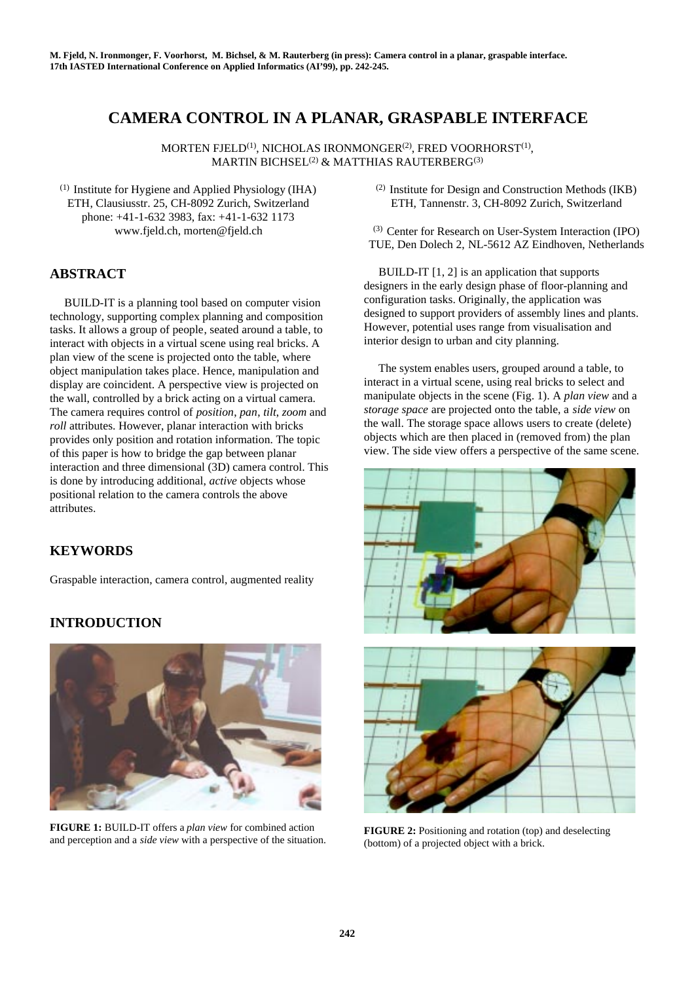# **CAMERA CONTROL IN A PLANAR, GRASPABLE INTERFACE**

MORTEN FJELD<sup>(1)</sup>, NICHOLAS IRONMONGER<sup>(2)</sup>, FRED VOORHORST<sup>(1)</sup>, MARTIN BICHSEL<sup>(2)</sup> & MATTHIAS RAUTERBERG<sup>(3)</sup>

(1)Institute for Hygiene and Applied Physiology (IHA) ETH, Clausiusstr. 25, CH-8092 Zurich, Switzerland phone: +41-1-632 3983, fax: +41-1-632 1173 www.fjeld.ch, morten@fjeld.ch

#### **ABSTRACT**

 BUILD-IT is a planning tool based on computer vision technology, supporting complex planning and composition tasks. It allows a group of people, seated around a table, to interact with objects in a virtual scene using real bricks. A plan view of the scene is projected onto the table, where object manipulation takes place. Hence, manipulation and display are coincident. A perspective view is projected on the wall, controlled by a brick acting on a virtual camera. The camera requires control of *position*, *pan*, *tilt*, *zoom* and *roll* attributes. However, planar interaction with bricks provides only position and rotation information. The topic of this paper is how to bridge the gap between planar interaction and three dimensional (3D) camera control. This is done by introducing additional, *active* objects whose positional relation to the camera controls the above attributes.

## **KEYWORDS**

Graspable interaction, camera control, augmented reality

#### **INTRODUCTION**



**FIGURE 1:** BUILD-IT offers a *plan view* for combined action and perception and a *side view* with a perspective of the situation.

(2) Institute for Design and Construction Methods (IKB) ETH, Tannenstr. 3, CH-8092 Zurich, Switzerland

(3) Center for Research on User-System Interaction (IPO) TUE, Den Dolech 2, NL-5612 AZ Eindhoven, Netherlands

BUILD-IT [1, 2] is an application that supports designers in the early design phase of floor-planning and configuration tasks. Originally, the application was designed to support providers of assembly lines and plants. However, potential uses range from visualisation and interior design to urban and city planning.

 The system enables users, grouped around a table, to interact in a virtual scene, using real bricks to select and manipulate objects in the scene (Fig. 1). A *plan view* and a *storage space* are projected onto the table, a *side view* on the wall. The storage space allows users to create (delete) objects which are then placed in (removed from) the plan view. The side view offers a perspective of the same scene.



**FIGURE 2:** Positioning and rotation (top) and deselecting (bottom) of a projected object with a brick.

#### **242**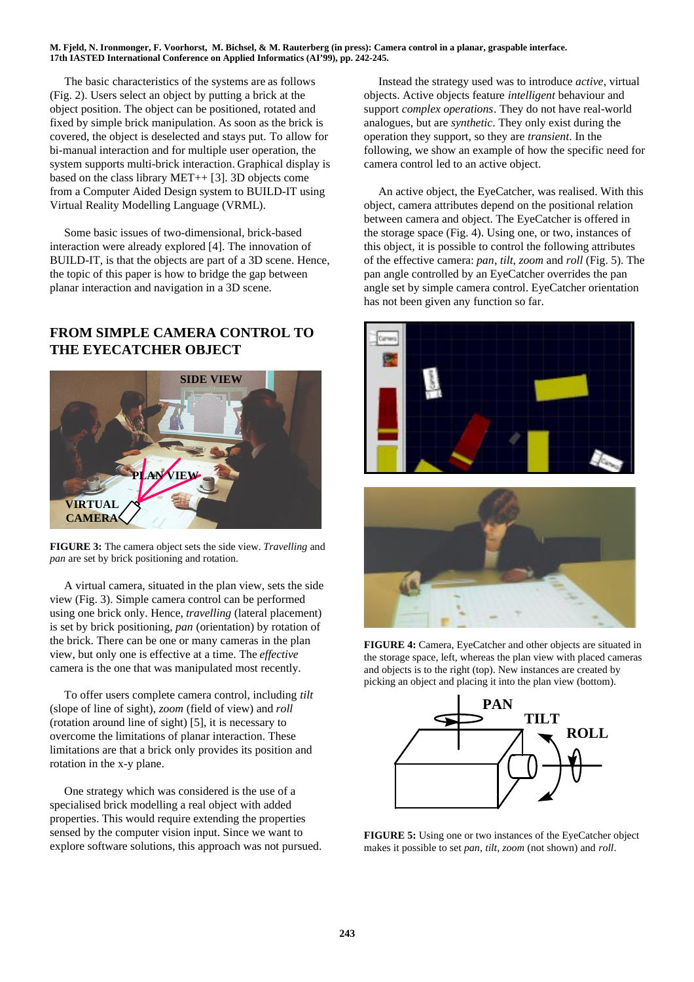#### **M. Fjeld, N. Ironmonger, F. Voorhorst, M. Bichsel, & M. Rauterberg (in press): Camera control in a planar, graspable interface. 17th IASTED International Conference on Applied Informatics (AI'99), pp. 242-245.**

 The basic characteristics of the systems are as follows (Fig. 2). Users select an object by putting a brick at the object position. The object can be positioned, rotated and fixed by simple brick manipulation. As soon as the brick is covered, the object is deselected and stays put. To allow for bi-manual interaction and for multiple user operation, the system supports multi-brick interaction. Graphical display is based on the class library MET++ [3]. 3D objects come from a Computer Aided Design system to BUILD-IT using Virtual Reality Modelling Language (VRML).

 Some basic issues of two-dimensional, brick-based interaction were already explored [4]. The innovation of BUILD-IT, is that the objects are part of a 3D scene. Hence, the topic of this paper is how to bridge the gap between planar interaction and navigation in a 3D scene.

#### **FROM SIMPLE CAMERA CONTROL TO THE EYECATCHER OBJECT**



**FIGURE 3:** The camera object sets the side view. *Travelling* and *pan* are set by brick positioning and rotation.

 A virtual camera, situated in the plan view, sets the side view (Fig. 3). Simple camera control can be performed using one brick only. Hence, *travelling* (lateral placement) is set by brick positioning, *pan* (orientation) by rotation of the brick. There can be one or many cameras in the plan view, but only one is effective at a time. The *effective* camera is the one that was manipulated most recently.

 To offer users complete camera control, including *tilt* (slope of line of sight), *zoom* (field of view) and *roll* (rotation around line of sight) [5], it is necessary to overcome the limitations of planar interaction. These limitations are that a brick only provides its position and rotation in the x-y plane.

 One strategy which was considered is the use of a specialised brick modelling a real object with added properties. This would require extending the properties sensed by the computer vision input. Since we want to explore software solutions, this approach was not pursued.

 Instead the strategy used was to introduce *active*, virtual objects. Active objects feature *intelligent* behaviour and support *complex operations*. They do not have real-world analogues, but are *synthetic*. They only exist during the operation they support, so they are *transient*. In the following, we show an example of how the specific need for camera control led to an active object.

 An active object, the EyeCatcher, was realised. With this object, camera attributes depend on the positional relation between camera and object. The EyeCatcher is offered in the storage space (Fig. 4). Using one, or two, instances of this object, it is possible to control the following attributes of the effective camera: *pan*, *tilt*, *zoom* and *roll* (Fig. 5). The pan angle controlled by an EyeCatcher overrides the pan angle set by simple camera control. EyeCatcher orientation has not been given any function so far.





**FIGURE 4:** Camera, EyeCatcher and other objects are situated in the storage space, left, whereas the plan view with placed cameras and objects is to the right (top). New instances are created by picking an object and placing it into the plan view (bottom).



**FIGURE 5:** Using one or two instances of the EyeCatcher object makes it possible to set *pan*, *tilt*, *zoom* (not shown) and *roll*.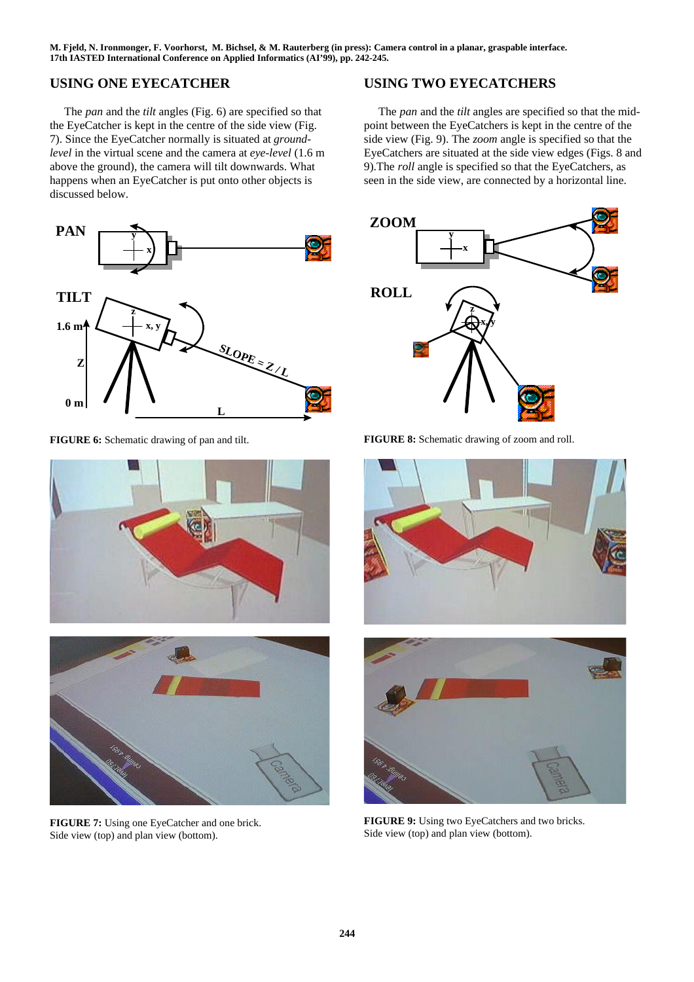**M. Fjeld, N. Ironmonger, F. Voorhorst, M. Bichsel, & M. Rauterberg (in press): Camera control in a planar, graspable interface. 17th IASTED International Conference on Applied Informatics (AI'99), pp. 242-245.**

#### **USING ONE EYECATCHER**

 The *pan* and the *tilt* angles (Fig. 6) are specified so that the EyeCatcher is kept in the centre of the side view (Fig. 7). Since the EyeCatcher normally is situated at *groundlevel* in the virtual scene and the camera at *eye-level* (1.6 m above the ground), the camera will tilt downwards. What happens when an EyeCatcher is put onto other objects is discussed below.



**FIGURE 6:** Schematic drawing of pan and tilt.





**FIGURE 7:** Using one EyeCatcher and one brick. Side view (top) and plan view (bottom).

#### **USING TWO EYECATCHERS**

 The *pan* and the *tilt* angles are specified so that the midpoint between the EyeCatchers is kept in the centre of the side view (Fig. 9). The *zoom* angle is specified so that the EyeCatchers are situated at the side view edges (Figs. 8 and 9).The *roll* angle is specified so that the EyeCatchers, as seen in the side view, are connected by a horizontal line.



**FIGURE 8:** Schematic drawing of zoom and roll.





**FIGURE 9:** Using two EyeCatchers and two bricks. Side view (top) and plan view (bottom).